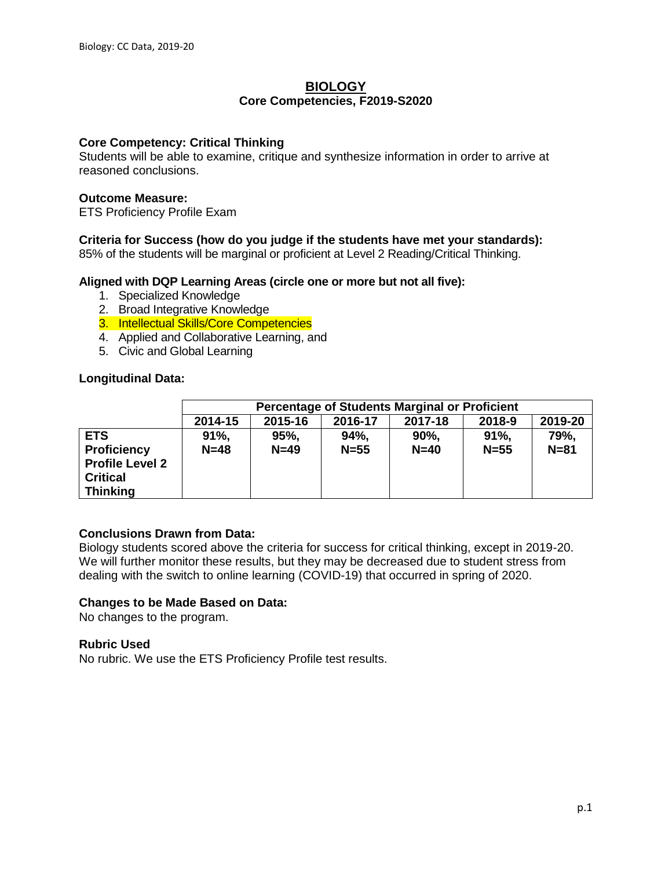## **BIOLOGY Core Competencies, F2019-S2020**

## **Core Competency: Critical Thinking**

Students will be able to examine, critique and synthesize information in order to arrive at reasoned conclusions.

## **Outcome Measure:**

ETS Proficiency Profile Exam

# **Criteria for Success (how do you judge if the students have met your standards):**

85% of the students will be marginal or proficient at Level 2 Reading/Critical Thinking.

## **Aligned with DQP Learning Areas (circle one or more but not all five):**

- 1. Specialized Knowledge
- 2. Broad Integrative Knowledge
- 3. Intellectual Skills/Core Competencies
- 4. Applied and Collaborative Learning, and
- 5. Civic and Global Learning

## **Longitudinal Data:**

|                                                            |                  | <b>Percentage of Students Marginal or Proficient</b> |                |                    |               |                  |
|------------------------------------------------------------|------------------|------------------------------------------------------|----------------|--------------------|---------------|------------------|
|                                                            | 2014-15          | 2015-16                                              | 2016-17        | 2017-18            | 2018-9        | 2019-20          |
| <b>ETS</b><br><b>Proficiency</b><br><b>Profile Level 2</b> | $91\%$<br>$N=48$ | 95%<br>$N=49$                                        | 94%,<br>$N=55$ | $90\%$ .<br>$N=40$ | 91%<br>$N=55$ | 79%,<br>$N = 81$ |
| <b>Critical</b><br><b>Thinking</b>                         |                  |                                                      |                |                    |               |                  |

# **Conclusions Drawn from Data:**

Biology students scored above the criteria for success for critical thinking, except in 2019-20. We will further monitor these results, but they may be decreased due to student stress from dealing with the switch to online learning (COVID-19) that occurred in spring of 2020.

# **Changes to be Made Based on Data:**

No changes to the program.

## **Rubric Used**

No rubric. We use the ETS Proficiency Profile test results.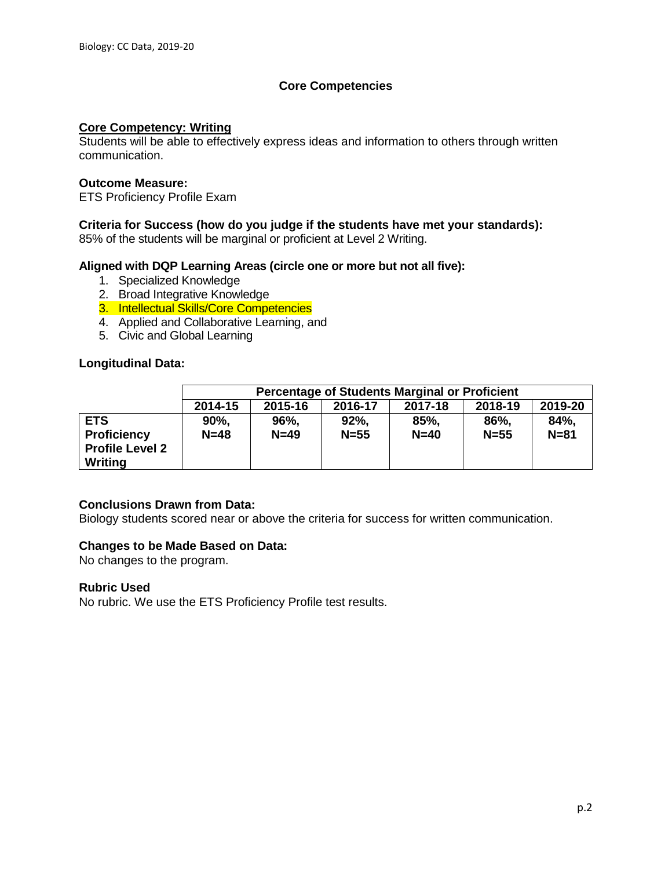# **Core Competencies**

## **Core Competency: Writing**

Students will be able to effectively express ideas and information to others through written communication.

## **Outcome Measure:**

ETS Proficiency Profile Exam

## **Criteria for Success (how do you judge if the students have met your standards):**

85% of the students will be marginal or proficient at Level 2 Writing.

## **Aligned with DQP Learning Areas (circle one or more but not all five):**

- 1. Specialized Knowledge
- 2. Broad Integrative Knowledge
- 3. Intellectual Skills/Core Competencies
- 4. Applied and Collaborative Learning, and
- 5. Civic and Global Learning

## **Longitudinal Data:**

|                        |                                                                | <b>Percentage of Students Marginal or Proficient</b> |          |        |          |          |
|------------------------|----------------------------------------------------------------|------------------------------------------------------|----------|--------|----------|----------|
|                        | 2019-20<br>2014-15<br>2015-16<br>2018-19<br>2016-17<br>2017-18 |                                                      |          |        |          |          |
| <b>ETS</b>             | 90%,                                                           | 96%,                                                 | 92%      | 85%,   | 86%,     | 84%,     |
| <b>Proficiency</b>     | $N=48$                                                         | $N=49$                                               | $N = 55$ | $N=40$ | $N = 55$ | $N = 81$ |
| <b>Profile Level 2</b> |                                                                |                                                      |          |        |          |          |
| Writing                |                                                                |                                                      |          |        |          |          |

## **Conclusions Drawn from Data:**

Biology students scored near or above the criteria for success for written communication.

## **Changes to be Made Based on Data:**

No changes to the program.

## **Rubric Used**

No rubric. We use the ETS Proficiency Profile test results.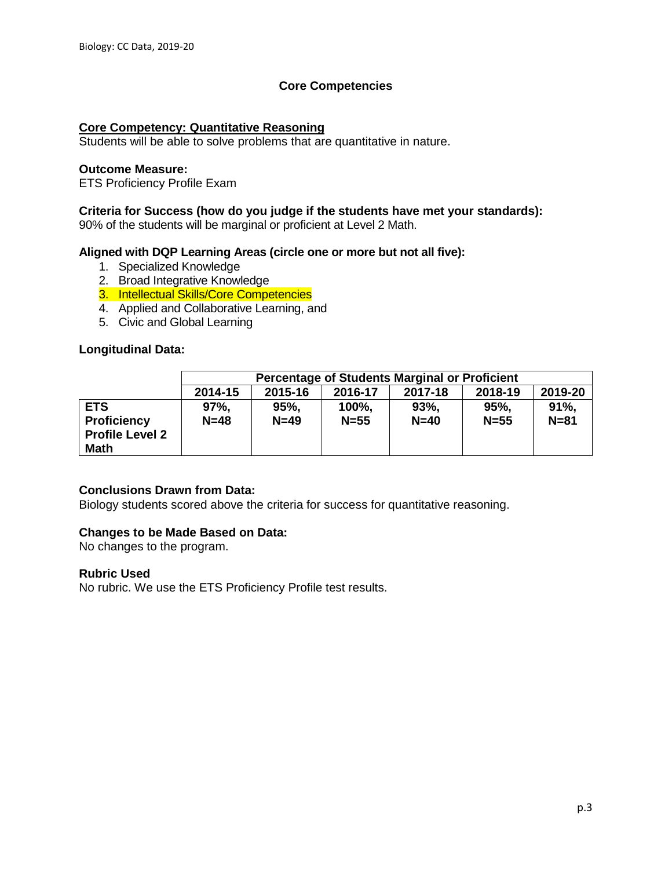# **Core Competencies**

## **Core Competency: Quantitative Reasoning**

Students will be able to solve problems that are quantitative in nature.

## **Outcome Measure:**

ETS Proficiency Profile Exam

## **Criteria for Success (how do you judge if the students have met your standards):**

90% of the students will be marginal or proficient at Level 2 Math.

## **Aligned with DQP Learning Areas (circle one or more but not all five):**

- 1. Specialized Knowledge
- 2. Broad Integrative Knowledge
- 3. Intellectual Skills/Core Competencies
- 4. Applied and Collaborative Learning, and
- 5. Civic and Global Learning

## **Longitudinal Data:**

|                                                                           | <b>Percentage of Students Marginal or Proficient</b>           |               |                   |                |                |                 |
|---------------------------------------------------------------------------|----------------------------------------------------------------|---------------|-------------------|----------------|----------------|-----------------|
|                                                                           | 2019-20<br>2014-15<br>2015-16<br>2018-19<br>2017-18<br>2016-17 |               |                   |                |                |                 |
| <b>ETS</b><br><b>Proficiency</b><br><b>Profile Level 2</b><br><b>Math</b> | 97%<br>$N=48$                                                  | 95%<br>$N=49$ | 100%,<br>$N = 55$ | 93%.<br>$N=40$ | 95%.<br>$N=55$ | 91%<br>$N = 81$ |

## **Conclusions Drawn from Data:**

Biology students scored above the criteria for success for quantitative reasoning.

# **Changes to be Made Based on Data:**

No changes to the program.

## **Rubric Used**

No rubric. We use the ETS Proficiency Profile test results.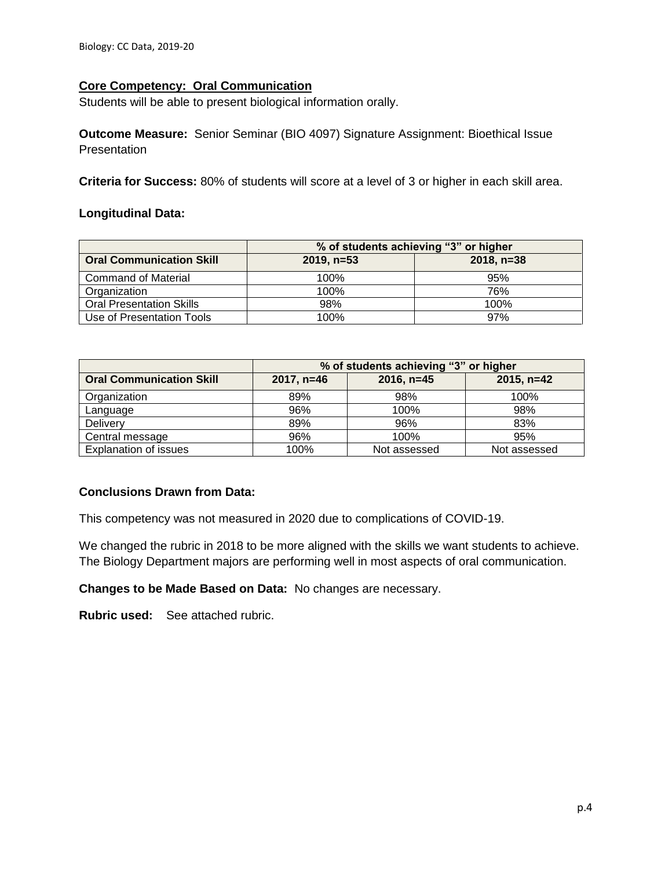# **Core Competency: Oral Communication**

Students will be able to present biological information orally.

**Outcome Measure:** Senior Seminar (BIO 4097) Signature Assignment: Bioethical Issue **Presentation** 

**Criteria for Success:** 80% of students will score at a level of 3 or higher in each skill area.

## **Longitudinal Data:**

|                                 | % of students achieving "3" or higher |              |  |  |
|---------------------------------|---------------------------------------|--------------|--|--|
| <b>Oral Communication Skill</b> | $2019, n=53$                          | $2018, n=38$ |  |  |
| <b>Command of Material</b>      | 100%                                  | 95%          |  |  |
| Organization                    | 100%                                  | 76%          |  |  |
| <b>Oral Presentation Skills</b> | 98%                                   | 100%         |  |  |
| Use of Presentation Tools       | 100%                                  | 97%          |  |  |

|                                 | % of students achieving "3" or higher |              |              |  |  |
|---------------------------------|---------------------------------------|--------------|--------------|--|--|
| <b>Oral Communication Skill</b> | $2017, n=46$                          | $2016, n=45$ | $2015, n=42$ |  |  |
| Organization                    | 89%                                   | 98%          | 100%         |  |  |
| Language                        | 96%                                   | 100%         | 98%          |  |  |
| <b>Delivery</b>                 | 89%                                   | 96%          | 83%          |  |  |
| Central message                 | 96%                                   | 100%         | 95%          |  |  |
| <b>Explanation of issues</b>    | 100%                                  | Not assessed | Not assessed |  |  |

# **Conclusions Drawn from Data:**

This competency was not measured in 2020 due to complications of COVID-19.

We changed the rubric in 2018 to be more aligned with the skills we want students to achieve. The Biology Department majors are performing well in most aspects of oral communication.

**Changes to be Made Based on Data:** No changes are necessary.

**Rubric used:** See attached rubric.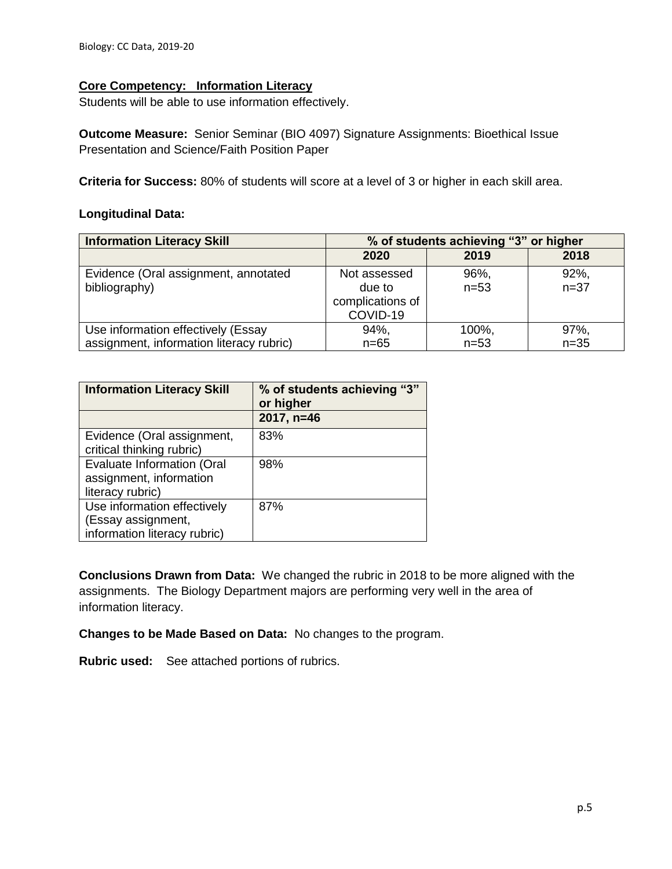# **Core Competency: Information Literacy**

Students will be able to use information effectively.

**Outcome Measure:** Senior Seminar (BIO 4097) Signature Assignments: Bioethical Issue Presentation and Science/Faith Position Paper

**Criteria for Success:** 80% of students will score at a level of 3 or higher in each skill area.

## **Longitudinal Data:**

| <b>Information Literacy Skill</b>        | % of students achieving "3" or higher |          |          |  |
|------------------------------------------|---------------------------------------|----------|----------|--|
|                                          | 2020                                  | 2019     | 2018     |  |
| Evidence (Oral assignment, annotated     | Not assessed                          | 96%,     | 92%,     |  |
| bibliography)                            | due to                                | $n = 53$ | $n = 37$ |  |
|                                          | complications of                      |          |          |  |
|                                          | COVID-19                              |          |          |  |
| Use information effectively (Essay       | 94%,                                  | 100%,    | 97%,     |  |
| assignment, information literacy rubric) | $n = 65$                              | $n = 53$ | $n=35$   |  |

| <b>Information Literacy Skill</b> | % of students achieving "3"<br>or higher |
|-----------------------------------|------------------------------------------|
|                                   | 2017, n=46                               |
| Evidence (Oral assignment,        | 83%                                      |
| critical thinking rubric)         |                                          |
| Evaluate Information (Oral        | 98%                                      |
| assignment, information           |                                          |
| literacy rubric)                  |                                          |
| Use information effectively       | 87%                                      |
| (Essay assignment,                |                                          |
| information literacy rubric)      |                                          |

**Conclusions Drawn from Data:** We changed the rubric in 2018 to be more aligned with the assignments. The Biology Department majors are performing very well in the area of information literacy.

**Changes to be Made Based on Data:** No changes to the program.

**Rubric used:** See attached portions of rubrics.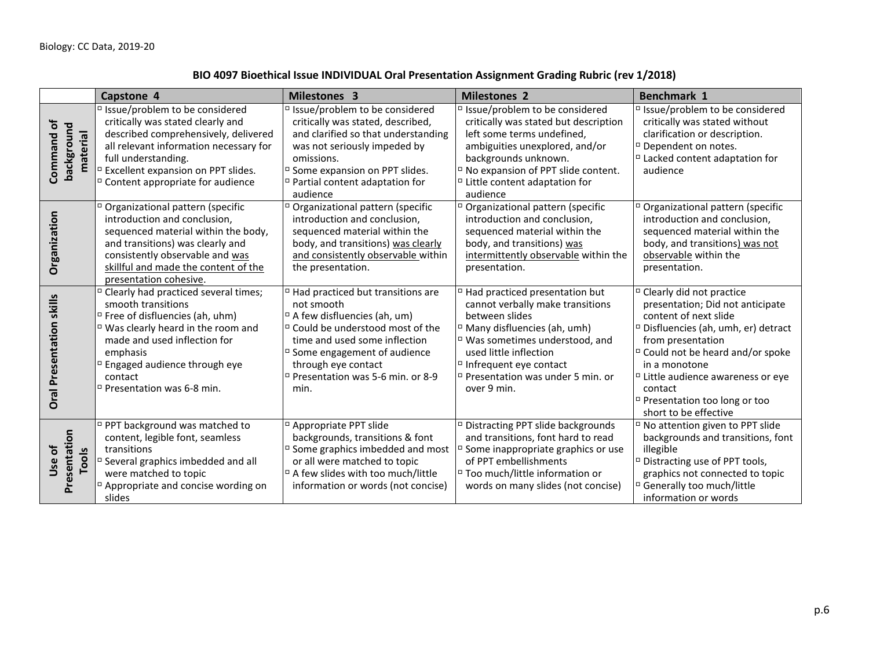# **BIO 4097 Bioethical Issue INDIVIDUAL Oral Presentation Assignment Grading Rubric (rev 1/2018)**

|                                       | Capstone 4                                                                                                                                                                                                                                                                                       | <b>Milestones 3</b>                                                                                                                                                                                                                                                                                        | <b>Milestones 2</b>                                                                                                                                                                                                                                                                                              | <b>Benchmark 1</b>                                                                                                                                                                                                                                                                                                                                      |
|---------------------------------------|--------------------------------------------------------------------------------------------------------------------------------------------------------------------------------------------------------------------------------------------------------------------------------------------------|------------------------------------------------------------------------------------------------------------------------------------------------------------------------------------------------------------------------------------------------------------------------------------------------------------|------------------------------------------------------------------------------------------------------------------------------------------------------------------------------------------------------------------------------------------------------------------------------------------------------------------|---------------------------------------------------------------------------------------------------------------------------------------------------------------------------------------------------------------------------------------------------------------------------------------------------------------------------------------------------------|
| Command of<br>background<br>material  | □ Issue/problem to be considered<br>critically was stated clearly and<br>described comprehensively, delivered<br>all relevant information necessary for<br>full understanding.<br><sup>D</sup> Excellent expansion on PPT slides.<br><sup>D</sup> Content appropriate for audience               | □ Issue/problem to be considered<br>critically was stated, described,<br>and clarified so that understanding<br>was not seriously impeded by<br>omissions.<br>□ Some expansion on PPT slides.<br><sup>D</sup> Partial content adaptation for<br>audience                                                   | □ Issue/problem to be considered<br>critically was stated but description<br>left some terms undefined,<br>ambiguities unexplored, and/or<br>backgrounds unknown.<br><sup>D</sup> No expansion of PPT slide content.<br>$\overline{\phantom{a}}$ Little content adaptation for<br>audience                       | □ Issue/problem to be considered<br>critically was stated without<br>clarification or description.<br><sup>□</sup> Dependent on notes.<br>$\Box$ Lacked content adaptation for<br>audience                                                                                                                                                              |
| Organization                          | Organizational pattern (specific<br>introduction and conclusion,<br>sequenced material within the body,<br>and transitions) was clearly and<br>consistently observable and was<br>skillful and made the content of the<br>presentation cohesive.                                                 | <sup>D</sup> Organizational pattern (specific<br>introduction and conclusion,<br>sequenced material within the<br>body, and transitions) was clearly<br>and consistently observable within<br>the presentation.                                                                                            | <sup>D</sup> Organizational pattern (specific<br>introduction and conclusion,<br>sequenced material within the<br>body, and transitions) was<br>intermittently observable within the<br>presentation.                                                                                                            | <sup>D</sup> Organizational pattern (specific<br>introduction and conclusion,<br>sequenced material within the<br>body, and transitions) was not<br>observable within the<br>presentation.                                                                                                                                                              |
| skills<br>Presentation<br><b>Oral</b> | <sup>D</sup> Clearly had practiced several times;<br>smooth transitions<br><sup>D</sup> Free of disfluencies (ah, uhm)<br>□ Was clearly heard in the room and<br>made and used inflection for<br>emphasis<br><sup>D</sup> Engaged audience through eye<br>contact<br>□ Presentation was 6-8 min. | <sup>D</sup> Had practiced but transitions are<br>not smooth<br><sup>D</sup> A few disfluencies (ah, um)<br>□ Could be understood most of the<br>time and used some inflection<br><sup>D</sup> Some engagement of audience<br>through eye contact<br><sup>D</sup> Presentation was 5-6 min. or 8-9<br>min. | <sup>D</sup> Had practiced presentation but<br>cannot verbally make transitions<br>between slides<br><sup>D</sup> Many disfluencies (ah, umh)<br>$\Box$ Was sometimes understood, and<br>used little inflection<br>$\Box$ Infrequent eye contact<br><sup>D</sup> Presentation was under 5 min. or<br>over 9 min. | <sup>D</sup> Clearly did not practice<br>presentation; Did not anticipate<br>content of next slide<br><sup>D</sup> Disfluencies (ah, umh, er) detract<br>from presentation<br><sup>D</sup> Could not be heard and/or spoke<br>in a monotone<br>□ Little audience awareness or eve<br>contact<br>□ Presentation too long or too<br>short to be effective |
| Presentation<br>Use of<br>Tools       | □ PPT background was matched to<br>content, legible font, seamless<br>transitions<br><sup>D</sup> Several graphics imbedded and all<br>were matched to topic<br>Appropriate and concise wording on<br>slides                                                                                     | <sup>D</sup> Appropriate PPT slide<br>backgrounds, transitions & font<br>$\Box$ Some graphics imbedded and most<br>or all were matched to topic<br><sup>D</sup> A few slides with too much/little<br>information or words (not concise)                                                                    | <sup>D</sup> Distracting PPT slide backgrounds<br>and transitions, font hard to read<br><sup>D</sup> Some inappropriate graphics or use<br>of PPT embellishments<br>□ Too much/little information or<br>words on many slides (not concise)                                                                       | <sup>D</sup> No attention given to PPT slide<br>backgrounds and transitions, font<br>illegible<br><sup>D</sup> Distracting use of PPT tools,<br>graphics not connected to topic<br><sup>D</sup> Generally too much/little<br>information or words                                                                                                       |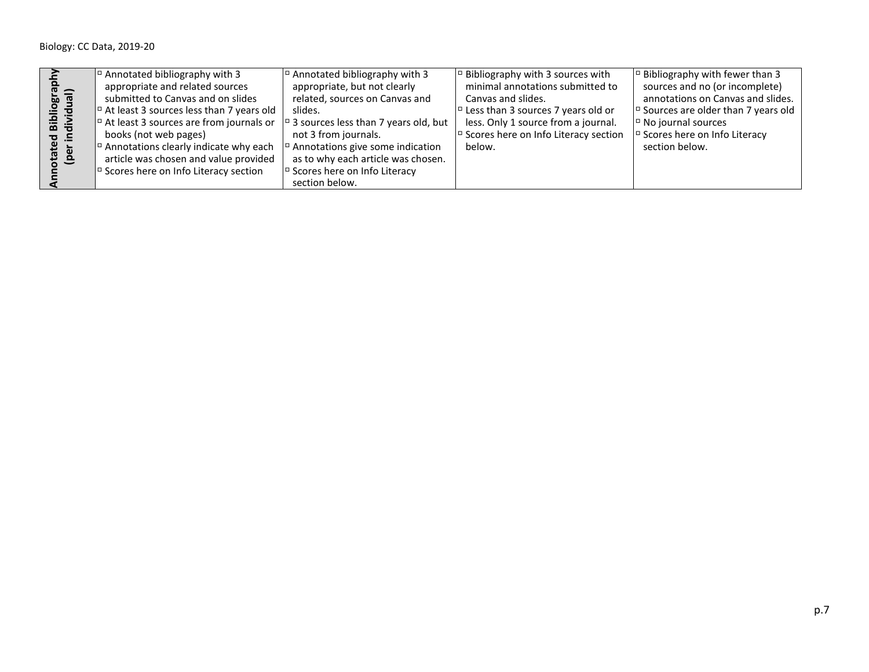|                | $\vert$ <sup><math>\vert</math></sup> Annotated bibliography with 3                                                    | $\vert$ <sup><math>\vert</math></sup> Annotated bibliography with 3    | $\vert$ <sup><math>\vert</math></sup> Bibliography with 3 sources with   | $\vert$ <sup><math>\vert</math></sup> Bibliography with fewer than 3     |
|----------------|------------------------------------------------------------------------------------------------------------------------|------------------------------------------------------------------------|--------------------------------------------------------------------------|--------------------------------------------------------------------------|
| $\bar{c}$ =    | appropriate and related sources                                                                                        | appropriate, but not clearly                                           | minimal annotations submitted to                                         | sources and no (or incomplete)                                           |
| $\overline{a}$ | submitted to Canvas and on slides                                                                                      | related, sources on Canvas and                                         | Canvas and slides.                                                       | annotations on Canvas and slides.                                        |
| <u>ੁੰ</u><br>ᄒ | $\vert$ <sup><math>\vert</math></sup> At least 3 sources less than 7 years old                                         | slides.                                                                | $\vert$ <sup><math>\vert</math></sup> Less than 3 sources 7 years old or | $\vert$ <sup><math>\vert</math></sup> Sources are older than 7 years old |
| ia<br>aixi     | $\vert$ <sup>o</sup> At least 3 sources are from journals or $\vert$ <sup>o</sup> 3 sources less than 7 years old, but |                                                                        | less. Only 1 source from a journal.                                      | $\vert$ <sup><math>\vert</math></sup> No journal sources                 |
| $\sigma$ $\Xi$ | books (not web pages)                                                                                                  | not 3 from journals.                                                   | Scores here on Info Literacy section                                     | $\vert$ <sup><math>\vert</math></sup> Scores here on Info Literacy       |
|                | $\vert$ <sup><math>\vert</math></sup> Annotations clearly indicate why each                                            | $\vert$ <sup><math>\vert</math></sup> Annotations give some indication | below.                                                                   | section below.                                                           |
| 품 은            | article was chosen and value provided                                                                                  | as to why each article was chosen.                                     |                                                                          |                                                                          |
|                | $\vert$ <sup><math>\vert</math></sup> Scores here on Info Literacy section                                             | $\vert$ <sup><math>\vert</math></sup> Scores here on Info Literacy     |                                                                          |                                                                          |
|                |                                                                                                                        | section below.                                                         |                                                                          |                                                                          |